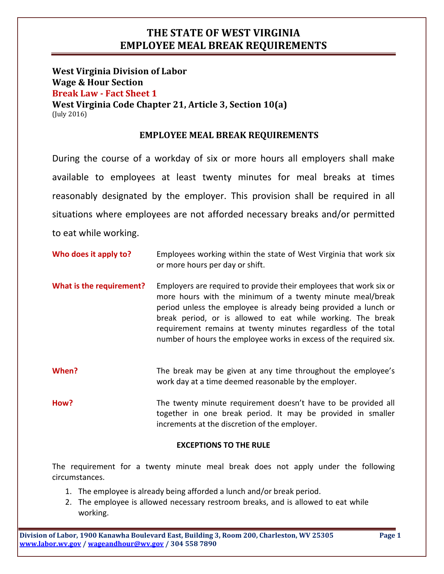## THE STATE OF WEST VIRGINIA EMPLOYEE MEAL BREAK REQUIREMENTS

West Virginia Division of Labor Wage & Hour Section Break Law - Fact Sheet 1 West Virginia Code Chapter 21, Article 3, Section 10(a) (July 2016)

### EMPLOYEE MEAL BREAK REQUIREMENTS

During the course of a workday of six or more hours all employers shall make available to employees at least twenty minutes for meal breaks at times reasonably designated by the employer. This provision shall be required in all situations where employees are not afforded necessary breaks and/or permitted to eat while working.

Who does it apply to? Employees working within the state of West Virginia that work six or more hours per day or shift.

What is the requirement? Employers are required to provide their employees that work six or more hours with the minimum of a twenty minute meal/break period unless the employee is already being provided a lunch or break period, or is allowed to eat while working. The break requirement remains at twenty minutes regardless of the total number of hours the employee works in excess of the required six.

When? The break may be given at any time throughout the employee's work day at a time deemed reasonable by the employer.

How? The twenty minute requirement doesn't have to be provided all together in one break period. It may be provided in smaller increments at the discretion of the employer.

#### EXCEPTIONS TO THE RULE

The requirement for a twenty minute meal break does not apply under the following circumstances.

- 1. The employee is already being afforded a lunch and/or break period.
- 2. The employee is allowed necessary restroom breaks, and is allowed to eat while working.